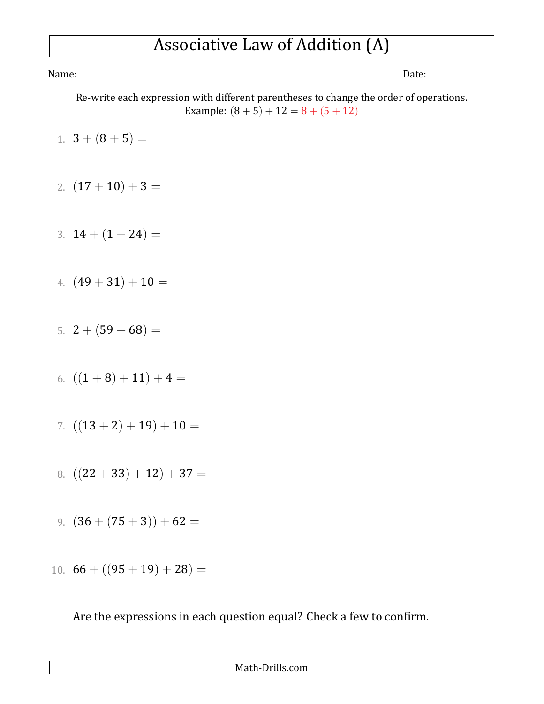## Associative Law of Addition (A)

Name: Date:

Re-write each expression with different parentheses to change the order of operations. Example:  $(8 + 5) + 12 = 8 + (5 + 12)$ 

- 1.  $3 + (8 + 5) =$
- 2.  $(17+10)+3=$
- 3.  $14 + (1 + 24) =$
- 4.  $(49+31)+10=$
- 5.  $2 + (59 + 68) =$
- 6.  $((1+8)+11)+4=$
- 7.  $((13 + 2) + 19) + 10 =$
- 8.  $((22 + 33) + 12) + 37 =$
- 9.  $(36 + (75 + 3)) + 62 =$
- 10.  $66 + ((95 + 19) + 28) =$

Are the expressions in each question equal? Check a few to confirm.